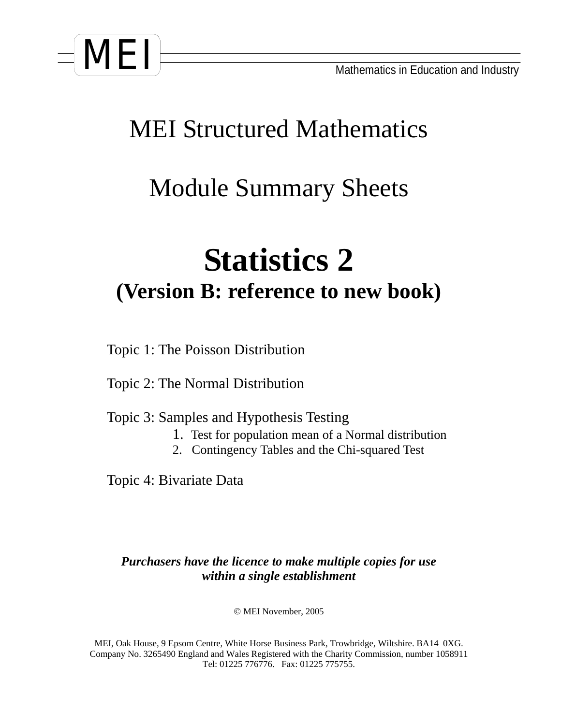

# MEI Structured Mathematics

# Module Summary Sheets

# **Statistics 2 (Version B: reference to new book)**

Topic 1: The Poisson Distribution

Topic 2: The Normal Distribution

- Topic 3: Samples and Hypothesis Testing
	- 1. Test for population mean of a Normal distribution
	- 2. Contingency Tables and the Chi-squared Test

Topic 4: Bivariate Data

#### *Purchasers have the licence to make multiple copies for use within a single establishment*

© MEI November, 2005

MEI, Oak House, 9 Epsom Centre, White Horse Business Park, Trowbridge, Wiltshire. BA14 0XG. Company No. 3265490 England and Wales Registered with the Charity Commission, number 1058911 Tel: 01225 776776. Fax: 01225 775755.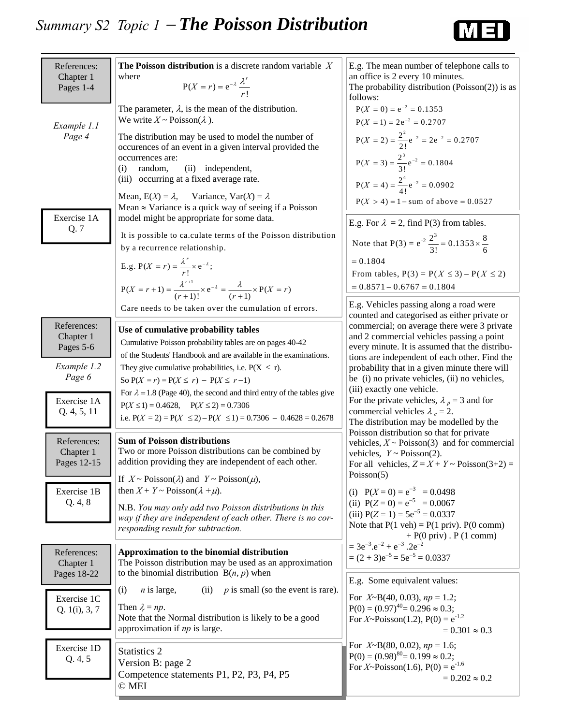#### *Summary S2 Topic 1* <sup>−</sup>*The Poisson Distribution*



| References:<br>Chapter 1<br>Pages 1-4   | <b>The Poisson distribution</b> is a discrete random variable $X$<br>where<br>$P(X = r) = e^{-\lambda} \frac{\lambda^r}{r!}$                                                                                                                          | E.g. The mean number of telephone calls to<br>an office is 2 every 10 minutes.<br>The probability distribution (Poisson(2)) is as<br>follows:                                                             |  |  |  |  |  |
|-----------------------------------------|-------------------------------------------------------------------------------------------------------------------------------------------------------------------------------------------------------------------------------------------------------|-----------------------------------------------------------------------------------------------------------------------------------------------------------------------------------------------------------|--|--|--|--|--|
| Example 1.1                             | The parameter, $\lambda$ , is the mean of the distribution.<br>We write $X \sim \text{Poisson}(\lambda)$ .                                                                                                                                            | $P(X = 0) = e^{-2} = 0.1353$<br>$P(X = 1) = 2e^{-2} = 0.2707$                                                                                                                                             |  |  |  |  |  |
| Page 4                                  | The distribution may be used to model the number of<br>occurences of an event in a given interval provided the<br>occurrences are:<br>(i)<br>random,<br>(ii) independent,<br>(iii) occurring at a fixed average rate.                                 | $P(X = 2) = \frac{2^2}{2!}e^{-2} = 2e^{-2} = 0.2707$<br>$P(X = 3) = \frac{2^3}{3!}e^{-2} = 0.1804$<br>$P(X = 4) = \frac{2^4}{4!}e^{-2} = 0.0902$                                                          |  |  |  |  |  |
| Exercise 1A                             | Mean, $E(X) = \lambda$ , Variance, $Var(X) = \lambda$<br>Mean $\approx$ Variance is a quick way of seeing if a Poisson<br>model might be appropriate for some data.                                                                                   | $P(X > 4) = 1 - \text{sum of above} = 0.0527$                                                                                                                                                             |  |  |  |  |  |
| Q. 7                                    | It is possible to ca.culate terms of the Poisson distribution<br>by a recurrence relationship.                                                                                                                                                        | E.g. For $\lambda = 2$ , find P(3) from tables.<br>Note that P(3) = $e^{-2} \frac{2^3}{3!} = 0.1353 \times \frac{8}{6}$                                                                                   |  |  |  |  |  |
|                                         | E.g. $P(X = r) = \frac{\lambda^r}{r!} \times e^{-\lambda};$<br>$P(X = r + 1) = \frac{\lambda^{r+1}}{(r+1)!} \times e^{-\lambda} = \frac{\lambda}{(r+1)} \times P(X = r)$                                                                              | $= 0.1804$<br>From tables, $P(3) = P(X \le 3) - P(X \le 2)$<br>$= 0.8571 - 0.6767 = 0.1804$                                                                                                               |  |  |  |  |  |
|                                         | Care needs to be taken over the cumulation of errors.                                                                                                                                                                                                 | E.g. Vehicles passing along a road were<br>counted and categorised as either private or                                                                                                                   |  |  |  |  |  |
| References:<br>Chapter 1<br>Pages 5-6   | Use of cumulative probability tables<br>Cumulative Poisson probability tables are on pages 40-42<br>of the Students' Handbook and are available in the examinations.                                                                                  | commercial; on average there were 3 private<br>and 2 commercial vehicles passing a point<br>every minute. It is assumed that the distribu-                                                                |  |  |  |  |  |
| Example 1.2<br>Page 6                   | They give cumulative probabilities, i.e. $P(X \le r)$ .<br>So $P(X = r) = P(X \le r) - P(X \le r - 1)$                                                                                                                                                | tions are independent of each other. Find the<br>probability that in a given minute there will<br>be (i) no private vehicles, (ii) no vehicles,<br>(iii) exactly one vehicle.                             |  |  |  |  |  |
| Exercise 1A<br>Q. 4, 5, 11              | For $\lambda = 1.8$ (Page 40), the second and third entry of the tables give<br>$P(X \le 1) = 0.4628$ , $P(X \le 2) = 0.7306$<br>i.e. $P(X = 2) = P(X \le 2) - P(X \le 1) = 0.7306 - 0.4628 = 0.2678$                                                 | For the private vehicles, $\lambda_p = 3$ and for<br>commercial vehicles $\lambda_c = 2$ .<br>The distribution may be modelled by the                                                                     |  |  |  |  |  |
| References:<br>Chapter 1<br>Pages 12-15 | <b>Sum of Poisson distributions</b><br>Two or more Poisson distributions can be combined by<br>addition providing they are independent of each other.                                                                                                 | Poisson distribution so that for private<br>vehicles, $X \sim \text{Poisson}(3)$ and for commercial<br>vehicles, $Y \sim \text{Poisson}(2)$ .<br>For all vehicles, $Z = X + Y \sim \text{Poisson}(3+2) =$ |  |  |  |  |  |
| Exercise 1B<br>Q.4, 8                   | If $X \sim \text{Poisson}(\lambda)$ and $Y \sim \text{Poisson}(\mu)$ ,<br>then $X + Y \sim \text{Poisson}(\lambda + \mu)$ .<br>N.B. You may only add two Poisson distributions in this<br>way if they are independent of each other. There is no cor- | Poisson $(5)$<br>(i) $P(X=0) = e^{-3} = 0.0498$<br>(ii) $P(Z = 0) = e^{-5} = 0.0067$<br>(iii) $P(Z = 1) = 5e^{-5} = 0.0337$                                                                               |  |  |  |  |  |
| References:                             | responding result for subtraction.<br>Approximation to the binomial distribution                                                                                                                                                                      | Note that $P(1 \text{ veh}) = P(1 \text{ priv})$ . $P(0 \text{ comm})$<br>$=3e^{-3}.e^{-2}+e^{-3}.2e^{-2}$<br>= 3.2e <sup>-2</sup>                                                                        |  |  |  |  |  |
| Chapter 1<br>Pages 18-22                | The Poisson distribution may be used as an approximation<br>to the binomial distribution $B(n, p)$ when                                                                                                                                               | $= (2 + 3)e^{-5} = 5e^{-5} = 0.0337$<br>E.g. Some equivalent values:                                                                                                                                      |  |  |  |  |  |
| Exercise 1C<br>Q. 1(i), 3, 7            | $n$ is large,<br>$p$ is small (so the event is rare).<br>(i)<br>(ii)<br>Then $\lambda = np$ .<br>Note that the Normal distribution is likely to be a good<br>approximation if $np$ is large.                                                          | For $X \sim B(40, 0.03)$ , $np = 1.2$ ;<br>$P(0) = (0.97)^{40} = 0.296 \approx 0.3;$<br>For X~Poisson(1.2), $P(0) = e^{-1.2}$<br>$= 0.301 \approx 0.3$                                                    |  |  |  |  |  |
| Exercise 1D<br>Q.4, 5                   | Statistics 2<br>Version B: page 2<br>Competence statements P1, P2, P3, P4, P5<br>$\odot$ MEI                                                                                                                                                          | For $X \sim B(80, 0.02)$ , $np = 1.6$ ;<br>$P(0) = (0.98)^{80} = 0.199 \approx 0.2$ ;<br>For X~Poisson(1.6), $P(0) = e^{-1.6}$<br>$= 0.202 \approx 0.2$                                                   |  |  |  |  |  |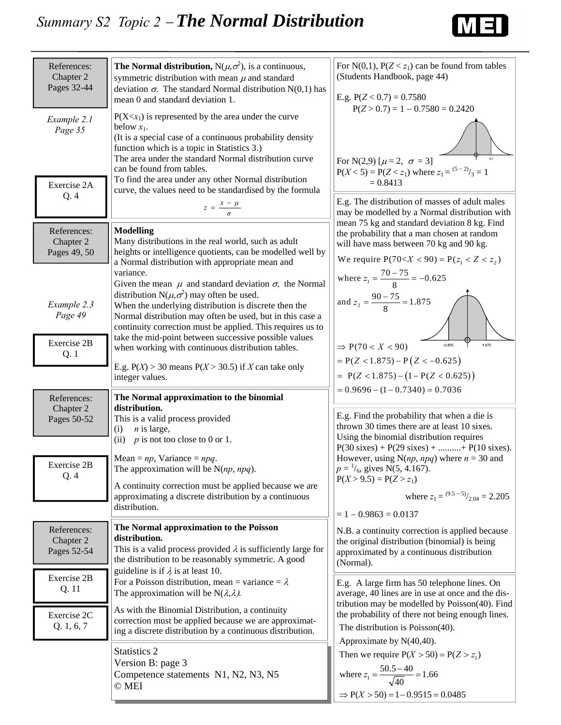#### *Summary S2 Topic 2* − *The Normal Distribution*



| References:<br>Chapter 2<br>Pages 32-44<br>Example 2.1<br>Page 35 | <b>The Normal distribution,</b> $N(\mu, \sigma^2)$ , is a continuous,<br>symmetric distribution with mean $\mu$ and standard<br>deviation $\sigma$ . The standard Normal distribution N(0,1) has<br>mean 0 and standard deviation 1.<br>$P(X \le x_1)$ is represented by the area under the curve<br>below $x_1$ .<br>(It is a special case of a continuous probability density<br>function which is a topic in Statistics 3.)<br>The area under the standard Normal distribution curve | For N(0,1), $P(Z \le z_1)$ can be found from tables<br>(Students Handbook, page 44)<br>E.g. $P(Z < 0.7) = 0.7580$<br>$P(Z > 0.7) = 1 - 0.7580 = 0.2420$<br>For N(2,9) $[\mu = 2, \ \sigma = 3]$                                      |  |  |  |  |
|-------------------------------------------------------------------|-----------------------------------------------------------------------------------------------------------------------------------------------------------------------------------------------------------------------------------------------------------------------------------------------------------------------------------------------------------------------------------------------------------------------------------------------------------------------------------------|--------------------------------------------------------------------------------------------------------------------------------------------------------------------------------------------------------------------------------------|--|--|--|--|
| Exercise 2A<br>Q.4                                                | can be found from tables.<br>To find the area under any other Normal distribution<br>curve, the values need to be standardised by the formula<br>$z = \frac{x - \mu}{\sigma}$                                                                                                                                                                                                                                                                                                           | $P(X < 5) = P(Z < z_1)$ where $z_1 = \frac{(5-2)}{3} = 1$<br>$= 0.8413$<br>E.g. The distribution of masses of adult males<br>may be modelled by a Normal distribution with                                                           |  |  |  |  |
| References:<br>Chapter 2<br>Pages 49, 50                          | <b>Modelling</b><br>Many distributions in the real world, such as adult<br>heights or intelligence quotients, can be modelled well by<br>a Normal distribution with appropriate mean and<br>variance.                                                                                                                                                                                                                                                                                   | mean 75 kg and standard deviation 8 kg. Find<br>the probability that a man chosen at random<br>will have mass between 70 kg and 90 kg.<br>We require $P(70 < X < 90) = P(z_1 < Z < z_2)$<br>where $z_1 = \frac{70 - 75}{8} = -0.625$ |  |  |  |  |
| Example 2.3<br>Page 49                                            | Given the mean $\mu$ and standard deviation $\sigma$ , the Normal<br>distribution N( $\mu$ , $\sigma^2$ ) may often be used.<br>When the underlying distribution is discrete then the<br>Normal distribution may often be used, but in this case a<br>continuity correction must be applied. This requires us to<br>take the mid-point between successive possible values                                                                                                               | and $z_2 = \frac{90 - 75}{8} = 1.875$                                                                                                                                                                                                |  |  |  |  |
| Exercise 2B<br>Q. 1                                               | when working with continuous distribution tables.<br>E.g. $P(X) > 30$ means $P(X > 30.5)$ if X can take only<br>integer values.                                                                                                                                                                                                                                                                                                                                                         | $-0.625$<br>1.875<br>$\Rightarrow$ P(70 < X < 90)<br>$= P(Z < 1.875) - P(Z < -0.625)$<br>$= P(Z < 1.875) - (1 - P(Z < 0.625))$                                                                                                       |  |  |  |  |
| References:                                                       | The Normal approximation to the binomial                                                                                                                                                                                                                                                                                                                                                                                                                                                | $= 0.9696 - (1 - 0.7340) = 0.7036$                                                                                                                                                                                                   |  |  |  |  |
| Chapter 2<br>Pages 50-52                                          | distribution.<br>This is a valid process provided<br>(i)<br>$n$ is large,<br>$p$ is not too close to 0 or 1.<br>(ii)                                                                                                                                                                                                                                                                                                                                                                    | E.g. Find the probability that when a die is<br>thrown 30 times there are at least 10 sixes.<br>Using the binomial distribution requires                                                                                             |  |  |  |  |
| Exercise 2B<br>Q.4                                                | Mean = $np$ , Variance = $npq$ .<br>The approximation will be $N(np, npq)$ .<br>A continuity correction must be applied because we are                                                                                                                                                                                                                                                                                                                                                  | $P(30 \text{ sixes}) + P(29 \text{ sixes}) + \dots + P(10 \text{ sixes}).$<br>However, using $N(np, npq)$ where $n = 30$ and<br>$p = \frac{1}{6}$ , gives N(5, 4.167).<br>$P(X > 9.5) = P(Z > z_1)$                                  |  |  |  |  |
|                                                                   | approximating a discrete distribution by a continuous<br>distribution.                                                                                                                                                                                                                                                                                                                                                                                                                  | where $z_1 = \frac{(9.5-5)}{2.04} = 2.205$<br>$= 1 - 0.9863 = 0.0137$                                                                                                                                                                |  |  |  |  |
| References:<br>Chapter 2<br>Pages 52-54                           | The Normal approximation to the Poisson<br>distribution.<br>This is a valid process provided $\lambda$ is sufficiently large for<br>the distribution to be reasonably symmetric. A good<br>guideline is if $\lambda$ is at least 10.                                                                                                                                                                                                                                                    | N.B. a continuity correction is applied because<br>the original distribution (binomial) is being<br>approximated by a continuous distribution<br>(Normal).                                                                           |  |  |  |  |
| Exercise 2B<br>Q. 11                                              | For a Poisson distribution, mean = variance = $\lambda$<br>The approximation will be $N(\lambda, \lambda)$ .                                                                                                                                                                                                                                                                                                                                                                            | E.g. A large firm has 50 telephone lines. On<br>average, 40 lines are in use at once and the dis-                                                                                                                                    |  |  |  |  |
| Exercise 2C<br>Q. 1, 6, 7                                         | As with the Binomial Distribution, a continuity<br>correction must be applied because we are approximat-<br>ing a discrete distribution by a continuous distribution.                                                                                                                                                                                                                                                                                                                   | tribution may be modelled by Poisson(40). Find<br>the probability of there not being enough lines.<br>The distribution is Poisson(40).                                                                                               |  |  |  |  |
|                                                                   | Statistics 2<br>Version B: page 3<br>Competence statements N1, N2, N3, N5<br>© MEI                                                                                                                                                                                                                                                                                                                                                                                                      | Approximate by $N(40,40)$ .<br>Then we require $P(X > 50) = P(Z > z_1)$<br>where $z_1 = \frac{50.5 - 40}{\sqrt{40}} = 1.66$<br>$\Rightarrow$ P(X > 50) = 1 - 0.9515 = 0.0485                                                         |  |  |  |  |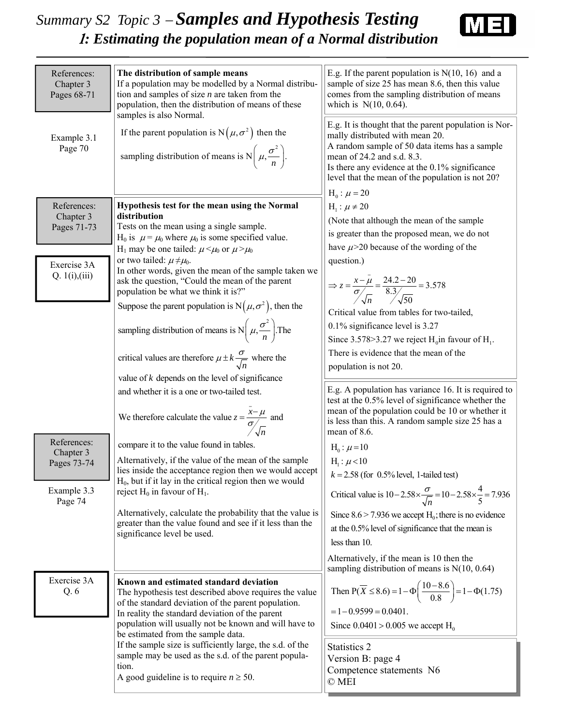#### *Summary S2 Topic 3* − *Samples and Hypothesis Testing* <sup>1</sup>*: Estimating the population mean of a Normal distribution*



| References:<br>Chapter 3<br>Pages 68-71                                  | The distribution of sample means<br>If a population may be modelled by a Normal distribu-<br>tion and samples of size $n$ are taken from the<br>population, then the distribution of means of these<br>samples is also Normal.                                                                                                                                                                                                                                                                                                                                                                                                                                                                                                                                                                                                                                        | E.g. If the parent population is $N(10, 16)$ and a<br>sample of size 25 has mean 8.6, then this value<br>comes from the sampling distribution of means<br>which is $N(10, 0.64)$ .                                                                                                                                                                                                                                                                                                                                                                                                                                                                                                                                                         |  |  |  |  |
|--------------------------------------------------------------------------|-----------------------------------------------------------------------------------------------------------------------------------------------------------------------------------------------------------------------------------------------------------------------------------------------------------------------------------------------------------------------------------------------------------------------------------------------------------------------------------------------------------------------------------------------------------------------------------------------------------------------------------------------------------------------------------------------------------------------------------------------------------------------------------------------------------------------------------------------------------------------|--------------------------------------------------------------------------------------------------------------------------------------------------------------------------------------------------------------------------------------------------------------------------------------------------------------------------------------------------------------------------------------------------------------------------------------------------------------------------------------------------------------------------------------------------------------------------------------------------------------------------------------------------------------------------------------------------------------------------------------------|--|--|--|--|
| Example 3.1<br>Page 70                                                   | If the parent population is $N(\mu, \sigma^2)$ then the<br>sampling distribution of means is $N\left(\mu, \frac{\sigma^2}{n}\right)$ .                                                                                                                                                                                                                                                                                                                                                                                                                                                                                                                                                                                                                                                                                                                                | E.g. It is thought that the parent population is Nor-<br>mally distributed with mean 20.<br>A random sample of 50 data items has a sample<br>mean of 24.2 and s.d. 8.3.<br>Is there any evidence at the 0.1% significance<br>level that the mean of the population is not 20?                                                                                                                                                                                                                                                                                                                                                                                                                                                              |  |  |  |  |
| References:<br>Chapter 3<br>Pages 71-73<br>Exercise 3A<br>Q. 1(i), (iii) | Hypothesis test for the mean using the Normal<br>distribution<br>Tests on the mean using a single sample.<br>H <sub>0</sub> is $\mu = \mu_0$ where $\mu_0$ is some specified value.<br>H <sub>1</sub> may be one tailed: $\mu < \mu_0$ or $\mu > \mu_0$<br>or two tailed: $\mu \neq \mu_0$ .<br>In other words, given the mean of the sample taken we<br>ask the question, "Could the mean of the parent<br>population be what we think it is?"<br>Suppose the parent population is $N(\mu, \sigma^2)$ , then the<br>sampling distribution of means is $N\left(\mu, \frac{\sigma^2}{n}\right)$ . The<br>critical values are therefore $\mu \pm k \frac{\sigma}{\sqrt{n}}$ where the<br>value of $k$ depends on the level of significance<br>and whether it is a one or two-tailed test.<br>We therefore calculate the value $z = \frac{x - \mu}{\sigma \sqrt{n}}$ and | $H_0$ : $\mu = 20$<br>$H_1$ : $\mu \neq 20$<br>(Note that although the mean of the sample<br>is greater than the proposed mean, we do not<br>have $\mu$ > 20 because of the wording of the<br>question.)<br>$\Rightarrow z = \frac{x - \mu}{\sigma \sqrt{n}} = \frac{24.2 - 20}{8.3 \sqrt{50}} = 3.578$<br>Critical value from tables for two-tailed,<br>0.1% significance level is 3.27<br>Since 3.578>3.27 we reject $H_0$ in favour of $H_1$ .<br>There is evidence that the mean of the<br>population is not 20.<br>E.g. A population has variance 16. It is required to<br>test at the 0.5% level of significance whether the<br>mean of the population could be 10 or whether it<br>is less than this. A random sample size 25 has a |  |  |  |  |
| References:<br>Chapter 3<br>Pages 73-74<br>Example 3.3<br>Page 74        | compare it to the value found in tables.<br>Alternatively, if the value of the mean of the sample<br>lies inside the acceptance region then we would accept<br>$H0$ , but if it lay in the critical region then we would<br>reject $H_0$ in favour of $H_1$ .<br>Alternatively, calculate the probability that the value is<br>greater than the value found and see if it less than the<br>significance level be used.                                                                                                                                                                                                                                                                                                                                                                                                                                                | mean of 8.6.<br>$H_0$ : $\mu$ = 10<br>$H_1$ : $\mu$ < 10<br>$k = 2.58$ (for 0.5% level, 1-tailed test)<br>Critical value is $10-2.58 \times \frac{\sigma}{\sqrt{n}} = 10-2.58 \times \frac{4}{5} = 7.936$<br>Since $8.6 > 7.936$ we accept H <sub>0</sub> ; there is no evidence<br>at the $0.5\%$ level of significance that the mean is<br>less than 10.<br>Alternatively, if the mean is 10 then the<br>sampling distribution of means is $N(10, 0.64)$                                                                                                                                                                                                                                                                                 |  |  |  |  |
| Exercise 3A<br>Q.6                                                       | Known and estimated standard deviation<br>The hypothesis test described above requires the value<br>of the standard deviation of the parent population.<br>In reality the standard deviation of the parent<br>population will usually not be known and will have to<br>be estimated from the sample data.<br>If the sample size is sufficiently large, the s.d. of the<br>sample may be used as the s.d. of the parent popula-<br>tion.<br>A good guideline is to require $n \ge 50$ .                                                                                                                                                                                                                                                                                                                                                                                | Then $P(\overline{X} \le 8.6) = 1 - \Phi\left(\frac{10 - 8.6}{0.8}\right) = 1 - \Phi(1.75)$<br>$= 1 - 0.9599 = 0.0401.$<br>Since $0.0401 > 0.005$ we accept H <sub>0</sub><br>Statistics 2<br>Version B: page 4<br>Competence statements N6<br>© MEI                                                                                                                                                                                                                                                                                                                                                                                                                                                                                       |  |  |  |  |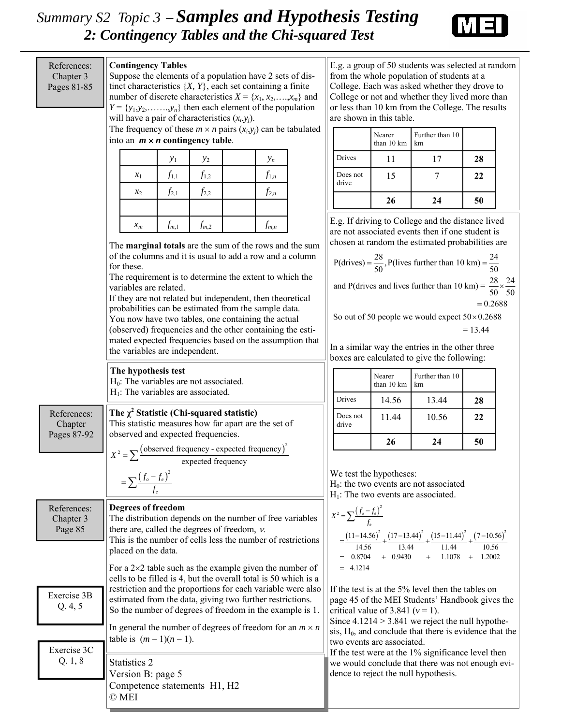



| References:<br>Chapter 3<br>Pages 81-85 | <b>Contingency Tables</b><br>Suppose the elements of a population have 2 sets of dis-<br>tinct characteristics $\{X, Y\}$ , each set containing a finite<br>number of discrete characteristics $X = \{x_1, x_2, , x_m\}$ and<br>$Y = \{y_1, y_2, \ldots, y_n\}$ then each element of the population<br>will have a pair of characteristics $(x_i, y_j)$ . |                                                                                                                                              |           |  |                                                                                                                                                                                                | E.g. a group of 50 students was selected at random<br>from the whole population of students at a<br>College. Each was asked whether they drove to<br>College or not and whether they lived more than<br>or less than 10 km from the College. The results<br>are shown in this table. |                                                                                                                                                                                                                  |                             |                      |                                                                                                       |          |  |
|-----------------------------------------|-----------------------------------------------------------------------------------------------------------------------------------------------------------------------------------------------------------------------------------------------------------------------------------------------------------------------------------------------------------|----------------------------------------------------------------------------------------------------------------------------------------------|-----------|--|------------------------------------------------------------------------------------------------------------------------------------------------------------------------------------------------|--------------------------------------------------------------------------------------------------------------------------------------------------------------------------------------------------------------------------------------------------------------------------------------|------------------------------------------------------------------------------------------------------------------------------------------------------------------------------------------------------------------|-----------------------------|----------------------|-------------------------------------------------------------------------------------------------------|----------|--|
|                                         |                                                                                                                                                                                                                                                                                                                                                           | The frequency of these $m \times n$ pairs $(x_i, y_j)$ can be tabulated<br>into an $m \times n$ contingency table.                           |           |  |                                                                                                                                                                                                |                                                                                                                                                                                                                                                                                      |                                                                                                                                                                                                                  |                             | Nearer<br>than 10 km | Further than 10<br>km                                                                                 |          |  |
|                                         | $y_2$<br>$y_1$<br>$y_n$                                                                                                                                                                                                                                                                                                                                   |                                                                                                                                              |           |  |                                                                                                                                                                                                |                                                                                                                                                                                                                                                                                      | Drives                                                                                                                                                                                                           | 11                          | 17                   | 28                                                                                                    |          |  |
|                                         | $x_1$                                                                                                                                                                                                                                                                                                                                                     | $f_{1,1}$                                                                                                                                    | $f_{1,2}$ |  | $f_{1,n}$                                                                                                                                                                                      |                                                                                                                                                                                                                                                                                      |                                                                                                                                                                                                                  | Does not<br>drive           | 15                   | 7                                                                                                     | 22       |  |
|                                         | $x_2$                                                                                                                                                                                                                                                                                                                                                     | $f_{2,1}$                                                                                                                                    | $f_{2,2}$ |  | $f_{2,n}$                                                                                                                                                                                      |                                                                                                                                                                                                                                                                                      |                                                                                                                                                                                                                  |                             | 26                   | 24                                                                                                    | 50       |  |
|                                         | $x_m$                                                                                                                                                                                                                                                                                                                                                     | $f_{m,1}$                                                                                                                                    | $f_{m,2}$ |  | $f_{m,n}$                                                                                                                                                                                      |                                                                                                                                                                                                                                                                                      |                                                                                                                                                                                                                  |                             |                      | E.g. If driving to College and the distance lived<br>are not associated events then if one student is |          |  |
|                                         | The <b>marginal totals</b> are the sum of the rows and the sum<br>of the columns and it is usual to add a row and a column<br>for these.<br>The requirement is to determine the extent to which the<br>variables are related.<br>If they are not related but independent, then theoretical                                                                |                                                                                                                                              |           |  |                                                                                                                                                                                                | chosen at random the estimated probabilities are<br>P(drives) = $\frac{28}{50}$ , P(lives further than 10 km) = $\frac{24}{50}$<br>and P(drives and lives further than 10 km) = $\frac{28}{50} \times \frac{24}{50}$<br>$= 0.2688$                                                   |                                                                                                                                                                                                                  |                             |                      |                                                                                                       |          |  |
|                                         | probabilities can be estimated from the sample data.<br>You now have two tables, one containing the actual<br>(observed) frequencies and the other containing the esti-<br>mated expected frequencies based on the assumption that<br>the variables are independent.                                                                                      |                                                                                                                                              |           |  |                                                                                                                                                                                                |                                                                                                                                                                                                                                                                                      | So out of 50 people we would expect $50 \times 0.2688$<br>$= 13.44$<br>In a similar way the entries in the other three<br>boxes are calculated to give the following:                                            |                             |                      |                                                                                                       |          |  |
|                                         |                                                                                                                                                                                                                                                                                                                                                           | The hypothesis test<br>$H_0$ : The variables are not associated.<br>$H_1$ : The variables are associated.                                    |           |  |                                                                                                                                                                                                |                                                                                                                                                                                                                                                                                      |                                                                                                                                                                                                                  |                             | Nearer<br>than 10 km | Further than 10<br>km                                                                                 |          |  |
| References:<br>Chapter                  |                                                                                                                                                                                                                                                                                                                                                           | The $\chi^2$ Statistic (Chi-squared statistic)<br>This statistic measures how far apart are the set of<br>observed and expected frequencies. |           |  |                                                                                                                                                                                                |                                                                                                                                                                                                                                                                                      |                                                                                                                                                                                                                  | Drives<br>Does not<br>drive | 14.56<br>11.44       | 13.44<br>10.56                                                                                        | 28<br>22 |  |
| Pages 87-92                             |                                                                                                                                                                                                                                                                                                                                                           |                                                                                                                                              |           |  |                                                                                                                                                                                                |                                                                                                                                                                                                                                                                                      |                                                                                                                                                                                                                  |                             | 26                   | 24                                                                                                    | 50       |  |
|                                         | $X^2 = \sum \frac{\text{(observed frequency - expected frequency)}^2}{\text{expected frequency}}$<br>$=\sum \frac{(f_o - f_e)^2}{f}$                                                                                                                                                                                                                      |                                                                                                                                              |           |  |                                                                                                                                                                                                | We test the hypotheses:<br>$H_0$ : the two events are not associated<br>$H_1$ : The two events are associated.                                                                                                                                                                       |                                                                                                                                                                                                                  |                             |                      |                                                                                                       |          |  |
| References:<br>Chapter 3<br>Page 85     | <b>Degrees of freedom</b><br>The distribution depends on the number of free variables<br>there are, called the degrees of freedom, $\nu$ .<br>This is the number of cells less the number of restrictions<br>placed on the data.                                                                                                                          |                                                                                                                                              |           |  | $X^2 = \sum \frac{(f_o - f_e)^2}{f}$<br>$=\frac{(11-14.56)^2}{14.56}+\frac{(17-13.44)^2}{13.44}+\frac{(15-11.44)^2}{11.44}+\frac{(7-10.56)^2}{10.56}$<br>$= 0.8704 + 0.9430 + 1.1078 + 1.2002$ |                                                                                                                                                                                                                                                                                      |                                                                                                                                                                                                                  |                             |                      |                                                                                                       |          |  |
| Exercise 3B<br>Q.4, 5                   | For a $2\times 2$ table such as the example given the number of<br>cells to be filled is 4, but the overall total is 50 which is a<br>restriction and the proportions for each variable were also<br>estimated from the data, giving two further restrictions.<br>So the number of degrees of freedom in the example is 1.                                |                                                                                                                                              |           |  |                                                                                                                                                                                                |                                                                                                                                                                                                                                                                                      | $= 4.1214$<br>If the test is at the 5% level then the tables on<br>page 45 of the MEI Students' Handbook gives the<br>critical value of 3.841 ( $v = 1$ ).<br>Since $4.1214 > 3.841$ we reject the null hypothe- |                             |                      |                                                                                                       |          |  |
| Exercise 3C<br>Q.1, 8                   | In general the number of degrees of freedom for an $m \times n$<br>table is $(m-1)(n-1)$ .<br>Statistics 2                                                                                                                                                                                                                                                |                                                                                                                                              |           |  |                                                                                                                                                                                                | sis, $H_0$ , and conclude that there is evidence that the<br>two events are associated.<br>If the test were at the 1% significance level then<br>we would conclude that there was not enough evi-                                                                                    |                                                                                                                                                                                                                  |                             |                      |                                                                                                       |          |  |
|                                         | Version B: page 5<br>© MEI                                                                                                                                                                                                                                                                                                                                | Competence statements H1, H2                                                                                                                 |           |  |                                                                                                                                                                                                |                                                                                                                                                                                                                                                                                      |                                                                                                                                                                                                                  |                             |                      | dence to reject the null hypothesis.                                                                  |          |  |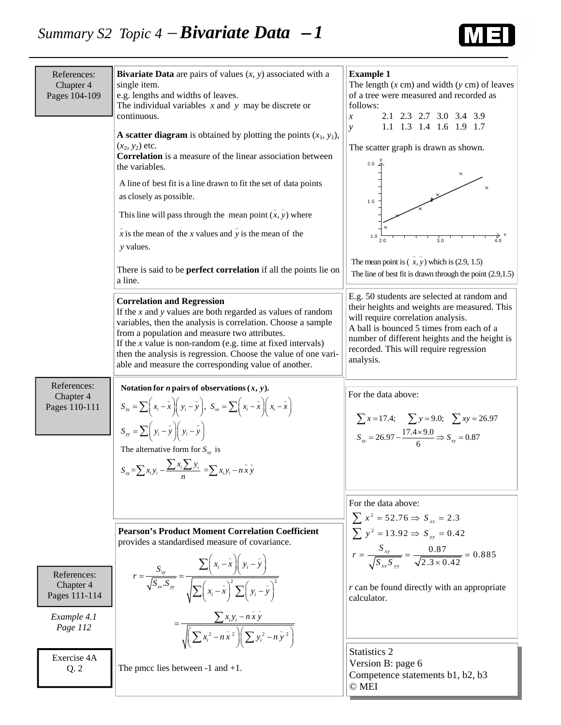### *Summary S2 Topic 4* − *Bivariate Data* − *1*

IM E

| References:<br>Chapter 4<br>Pages 104-109 | <b>Bivariate Data</b> are pairs of values $(x, y)$ associated with a<br>single item.<br>e.g. lengths and widths of leaves.<br>The individual variables $x$ and $y$ may be discrete or<br>continuous.<br>A scatter diagram is obtained by plotting the points $(x_1, y_1)$ ,<br>$(x_2, y_2)$ etc.<br>Correlation is a measure of the linear association between<br>the variables.                                      | <b>Example 1</b><br>The length $(x \text{ cm})$ and width $(y \text{ cm})$ of leaves<br>of a tree were measured and recorded as<br>follows:<br>2.1 2.3 2.7 3.0 3.4 3.9<br>$\boldsymbol{x}$<br>1.1 1.3 1.4 1.6 1.9 1.7<br>$\mathcal{V}$<br>The scatter graph is drawn as shown.<br>2.0 $\frac{7}{4}$ |
|-------------------------------------------|-----------------------------------------------------------------------------------------------------------------------------------------------------------------------------------------------------------------------------------------------------------------------------------------------------------------------------------------------------------------------------------------------------------------------|-----------------------------------------------------------------------------------------------------------------------------------------------------------------------------------------------------------------------------------------------------------------------------------------------------|
|                                           | A line of best fit is a line drawn to fit the set of data points<br>as closely as possible.<br>This line will pass through the mean point $(x, y)$ where<br>$\overline{x}$ is the mean of the $x$ values and $\overline{y}$ is the mean of the<br>y values.<br>There is said to be <b>perfect correlation</b> if all the points lie on<br>a line.                                                                     | 1.5<br>1.0<br>3.0<br>2.0<br>The mean point is $(x, y)$ which is $(2.9, 1.5)$<br>The line of best fit is drawn through the point $(2.9, 1.5)$                                                                                                                                                        |
|                                           | <b>Correlation and Regression</b><br>If the $x$ and $y$ values are both regarded as values of random<br>variables, then the analysis is correlation. Choose a sample<br>from a population and measure two attributes.<br>If the $x$ value is non-random (e.g. time at fixed intervals)<br>then the analysis is regression. Choose the value of one vari-<br>able and measure the corresponding value of another.      | E.g. 50 students are selected at random and<br>their heights and weights are measured. This<br>will require correlation analysis.<br>A ball is bounced 5 times from each of a<br>number of different heights and the height is<br>recorded. This will require regression<br>analysis.               |
| References:<br>Chapter 4<br>Pages 110-111 | Notation for <i>n</i> pairs of observations $(x, y)$ .<br>$S_{xy} = \sum \left(x_i - \bar{x}\right) \left(y_i - \bar{y}\right), S_{xx} = \sum \left(x_i - \bar{x}\right) \left(x_i - \bar{x}\right)$<br>$S_{yy} = \sum \left( y_i - \bar{y} \right) \left( y_i - \bar{y} \right)$<br>The alternative form for $S_{xy}$ is<br>$S_{xy} = \sum x_i y_i - \frac{\sum x_i \sum y_i}{n} = \sum x_i y_i - n \bar{x} \bar{y}$ | For the data above:<br>$\sum x = 17.4;$ $\sum y = 9.0;$ $\sum xy = 26.97$<br>$S_{xy} = 26.97 - \frac{17.4 \times 9.0}{6} \Rightarrow S_{xy} = 0.87$                                                                                                                                                 |
|                                           |                                                                                                                                                                                                                                                                                                                                                                                                                       | For the data above:<br>$\sum x^2 = 52.76 \Rightarrow S_{xx} = 2.3$                                                                                                                                                                                                                                  |
|                                           | <b>Pearson's Product Moment Correlation Coefficient</b><br>provides a standardised measure of covariance.                                                                                                                                                                                                                                                                                                             | $\sum y^2 = 13.92 \Rightarrow S_{yy} = 0.42$<br>$r = \frac{S_{xy}}{\sqrt{S_{xx}S_{yy}}} = \frac{0.87}{\sqrt{2.3 \times 0.42}} = 0.885$                                                                                                                                                              |
| References:<br>Chapter 4<br>Pages 111-114 | $r = \frac{S_{xy}}{\sqrt{S_{xx}S_{yy}}} = \frac{\sum (x_i - \bar{x}) (y_i - \bar{y})}{\sqrt{\sum (x_i - \bar{x})^2 \sum (y_i - \bar{y})^2}}$                                                                                                                                                                                                                                                                          | $r$ can be found directly with an appropriate<br>calculator.                                                                                                                                                                                                                                        |
| Example 4.1<br>Page 112                   | $=\frac{\sum x_i y_i - n x y}{\sqrt{\left(\sum x_i^2 - n x^2\right)\left(\sum y_i^2 - n y^2\right)}}$                                                                                                                                                                                                                                                                                                                 |                                                                                                                                                                                                                                                                                                     |
| Exercise 4A<br>Q.2                        | The pmcc lies between $-1$ and $+1$ .                                                                                                                                                                                                                                                                                                                                                                                 | Statistics 2<br>Version B: page 6<br>Competence statements b1, b2, b3<br>© MEI                                                                                                                                                                                                                      |